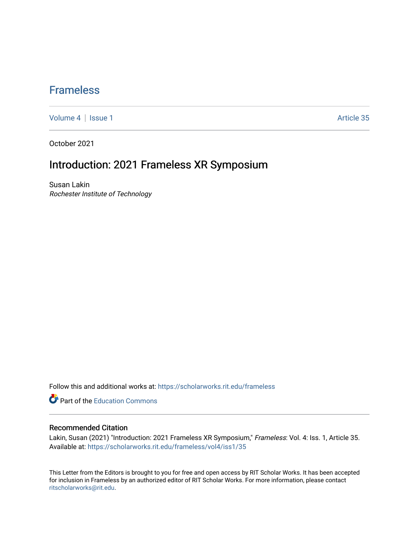### [Frameless](https://scholarworks.rit.edu/frameless)

[Volume 4](https://scholarworks.rit.edu/frameless/vol4) | [Issue 1](https://scholarworks.rit.edu/frameless/vol4/iss1) Article 35

October 2021

## Introduction: 2021 Frameless XR Symposium

Susan Lakin Rochester Institute of Technology

Follow this and additional works at: [https://scholarworks.rit.edu/frameless](https://scholarworks.rit.edu/frameless?utm_source=scholarworks.rit.edu%2Fframeless%2Fvol4%2Fiss1%2F35&utm_medium=PDF&utm_campaign=PDFCoverPages)

**C** Part of the [Education Commons](https://network.bepress.com/hgg/discipline/784?utm_source=scholarworks.rit.edu%2Fframeless%2Fvol4%2Fiss1%2F35&utm_medium=PDF&utm_campaign=PDFCoverPages)

### Recommended Citation

Lakin, Susan (2021) "Introduction: 2021 Frameless XR Symposium," Frameless: Vol. 4: Iss. 1, Article 35. Available at: [https://scholarworks.rit.edu/frameless/vol4/iss1/35](https://scholarworks.rit.edu/frameless/vol4/iss1/35?utm_source=scholarworks.rit.edu%2Fframeless%2Fvol4%2Fiss1%2F35&utm_medium=PDF&utm_campaign=PDFCoverPages) 

This Letter from the Editors is brought to you for free and open access by RIT Scholar Works. It has been accepted for inclusion in Frameless by an authorized editor of RIT Scholar Works. For more information, please contact [ritscholarworks@rit.edu](mailto:ritscholarworks@rit.edu).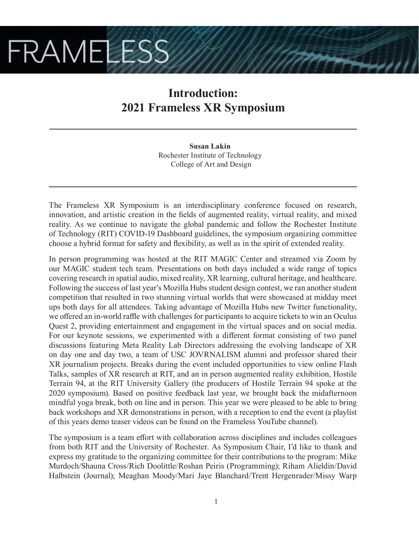# **FRAMELESS**

## **Introduction: 2021 Frameless XR Symposium**

**Susan Lakin** Rochester Institute of Technology College of Art and Design

The Frameless XR Symposium is an interdisciplinary conference focused on research, innovation, and artistic creation in the fields of augmented reality, virtual reality, and mixed reality. As we continue to navigate the global pandemic and follow the Rochester Institute of Technology (RIT) COVID-19 Dashboard guidelines, the symposium organizing committee choose a hybrid format for safety and flexibility, as well as in the spirit of extended reality.

In person programming was hosted at the RIT MAGIC Center and streamed via Zoom by our MAGIC student tech team. Presentations on both days included a wide range of topics covering research in spatial audio, mixed reality, XR learning, cultural heritage, and healthcare. Following the success of last year's Mozilla Hubs student design contest, we ran another student competition that resulted in two stunning virtual worlds that were showcased at midday meet ups both days for all attendees. Taking advantage of Mozilla Hubs new Twitter functionality, we offered an in-world raffle with challenges for participants to acquire tickets to win an Oculus Quest 2, providing entertainment and engagement in the virtual spaces and on social media. For our keynote sessions, we experimented with a different format consisting of two panel discussions featuring Meta Reality Lab Directors addressing the evolving landscape of XR on day one and day two, a team of USC JOVRNALISM alumni and professor shared their XR journalism projects. Breaks during the event included opportunities to view online Flash Talks, samples of XR research at RIT, and an in person augmented reality exhibition, Hostile Terrain 94, at the RIT University Gallery (the producers of Hostile Terrain 94 spoke at the 2020 symposium). Based on positive feedback last year, we brought back the midafternoon mindful yoga break, both on line and in person. This year we were pleased to be able to bring back workshops and XR demonstrations in person, with a reception to end the event (a playlist of this years demo teaser videos can be found on the Frameless YouTube channel).

The symposium is a team effort with collaboration across disciplines and includes colleagues from both RIT and the University of Rochester. As Symposium Chair, I'd like to thank and express my gratitude to the organizing committee for their contributions to the program: Mike Murdoch/Shauna Cross/Rich Doolittle/Roshan Peiris (Programming); Riham Alieldin/David Halbstein (Journal); Meaghan Moody/Mari Jaye Blanchard/Trent Hergenrader/Missy Warp